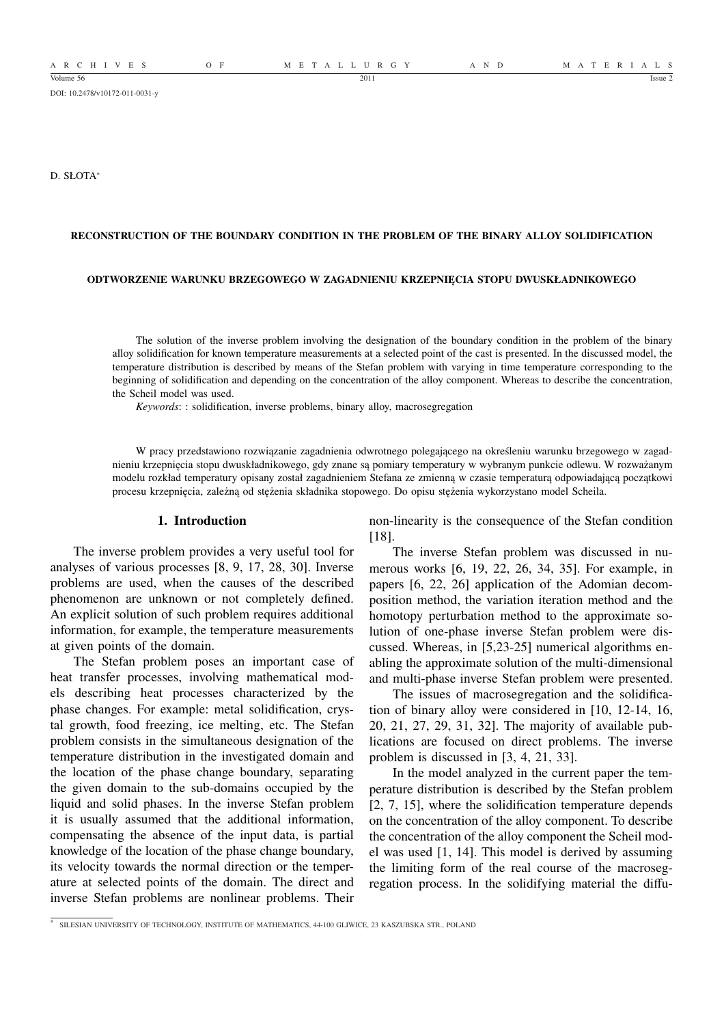DOI: 10.2478/v10172-011-0031-y

D. SŁOTA<sup>∗</sup>

## **RECONSTRUCTION OF THE BOUNDARY CONDITION IN THE PROBLEM OF THE BINARY ALLOY SOLIDIFICATION**

### **ODTWORZENIE WARUNKU BRZEGOWEGO W ZAGADNIENIU KRZEPNIĘCIA STOPU DWUSKŁADNIKOWEGO**

The solution of the inverse problem involving the designation of the boundary condition in the problem of the binary alloy solidification for known temperature measurements at a selected point of the cast is presented. In the discussed model, the temperature distribution is described by means of the Stefan problem with varying in time temperature corresponding to the beginning of solidification and depending on the concentration of the alloy component. Whereas to describe the concentration, the Scheil model was used.

*Keywords*: : solidification, inverse problems, binary alloy, macrosegregation

W pracy przedstawiono rozwiązanie zagadnienia odwrotnego polegającego na określeniu warunku brzegowego w zagadnieniu krzepnięcia stopu dwuskładnikowego, gdy znane są pomiary temperatury w wybranym punkcie odlewu. W rozważanym modelu rozkład temperatury opisany został zagadnieniem Stefana ze zmienną w czasie temperaturą odpowiadającą początkowi procesu krzepnięcia, zależną od stężenia składnika stopowego. Do opisu stężenia wykorzystano model Scheila.

### **1. Introduction**

The inverse problem provides a very useful tool for analyses of various processes [8, 9, 17, 28, 30]. Inverse problems are used, when the causes of the described phenomenon are unknown or not completely defined. An explicit solution of such problem requires additional information, for example, the temperature measurements at given points of the domain.

The Stefan problem poses an important case of heat transfer processes, involving mathematical models describing heat processes characterized by the phase changes. For example: metal solidification, crystal growth, food freezing, ice melting, etc. The Stefan problem consists in the simultaneous designation of the temperature distribution in the investigated domain and the location of the phase change boundary, separating the given domain to the sub-domains occupied by the liquid and solid phases. In the inverse Stefan problem it is usually assumed that the additional information, compensating the absence of the input data, is partial knowledge of the location of the phase change boundary, its velocity towards the normal direction or the temperature at selected points of the domain. The direct and inverse Stefan problems are nonlinear problems. Their

non-linearity is the consequence of the Stefan condition [18].

The inverse Stefan problem was discussed in numerous works [6, 19, 22, 26, 34, 35]. For example, in papers [6, 22, 26] application of the Adomian decomposition method, the variation iteration method and the homotopy perturbation method to the approximate solution of one-phase inverse Stefan problem were discussed. Whereas, in [5,23-25] numerical algorithms enabling the approximate solution of the multi-dimensional and multi-phase inverse Stefan problem were presented.

The issues of macrosegregation and the solidification of binary alloy were considered in [10, 12-14, 16, 20, 21, 27, 29, 31, 32]. The majority of available publications are focused on direct problems. The inverse problem is discussed in [3, 4, 21, 33].

In the model analyzed in the current paper the temperature distribution is described by the Stefan problem [2, 7, 15], where the solidification temperature depends on the concentration of the alloy component. To describe the concentration of the alloy component the Scheil model was used [1, 14]. This model is derived by assuming the limiting form of the real course of the macrosegregation process. In the solidifying material the diffu-

<sup>∗</sup> SILESIAN UNIVERSITY OF TECHNOLOGY, INSTITUTE OF MATHEMATICS, 44-100 GLIWICE, 23 KASZUBSKA STR., POLAND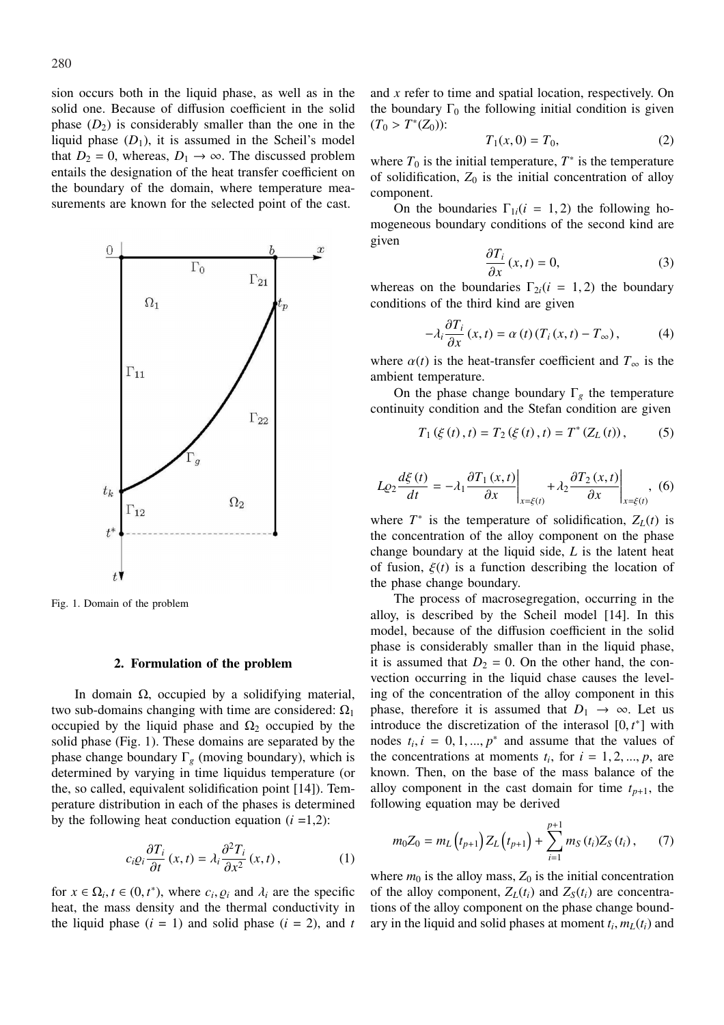sion occurs both in the liquid phase, as well as in the solid one. Because of diffusion coefficient in the solid phase  $(D_2)$  is considerably smaller than the one in the liquid phase  $(D_1)$ , it is assumed in the Scheil's model that  $D_2 = 0$ , whereas,  $D_1 \rightarrow \infty$ . The discussed problem entails the designation of the heat transfer coefficient on the boundary of the domain, where temperature measurements are known for the selected point of the cast.



Fig. 1. Domain of the problem

# **2. Formulation of the problem**

In domain  $Ω$ , occupied by a solidifying material, two sub-domains changing with time are considered:  $\Omega_1$ occupied by the liquid phase and  $\Omega_2$  occupied by the solid phase (Fig. 1). These domains are separated by the phase change boundary  $\Gamma_g$  (moving boundary), which is determined by varying in time liquidus temperature (or the, so called, equivalent solidification point [14]). Temperature distribution in each of the phases is determined by the following heat conduction equation  $(i = 1, 2)$ :

$$
c_i \varrho_i \frac{\partial T_i}{\partial t}(x, t) = \lambda_i \frac{\partial^2 T_i}{\partial x^2}(x, t), \qquad (1)
$$

for  $x \in \Omega_i$ ,  $t \in (0, t^*)$ , where  $c_i, \varrho_i$  and  $\lambda_i$  are the specific heat, the mass density and the thermal conductivity in the liquid phase  $(i = 1)$  and solid phase  $(i = 2)$ , and *t*  and *x* refer to time and spatial location, respectively. On the boundary  $\Gamma_0$  the following initial condition is given  $(T_0 > T^*(Z_0))$ :

$$
T_1(x,0) = T_0,\t\t(2)
$$

where  $T_0$  is the initial temperature,  $T^*$  is the temperature of solidification,  $Z_0$  is the initial concentration of alloy component.

On the boundaries  $\Gamma_{1i}(i = 1, 2)$  the following homogeneous boundary conditions of the second kind are given

$$
\frac{\partial T_i}{\partial x}(x,t) = 0,\t\t(3)
$$

whereas on the boundaries  $\Gamma_{2i}(i = 1, 2)$  the boundary conditions of the third kind are given

$$
-\lambda_i \frac{\partial T_i}{\partial x}(x,t) = \alpha(t) (T_i(x,t) - T_\infty), \tag{4}
$$

where  $\alpha(t)$  is the heat-transfer coefficient and  $T_{\infty}$  is the ambient temperature.

On the phase change boundary  $\Gamma_g$  the temperature continuity condition and the Stefan condition are given

$$
T_1(\xi(t),t) = T_2(\xi(t),t) = T^*(Z_L(t)),
$$
 (5)

$$
L_{Q2} \frac{d\xi(t)}{dt} = -\lambda_1 \frac{\partial T_1(x,t)}{\partial x} \bigg|_{x=\xi(t)} + \lambda_2 \frac{\partial T_2(x,t)}{\partial x} \bigg|_{x=\xi(t)}, \tag{6}
$$

where  $T^*$  is the temperature of solidification,  $Z_L(t)$  is the concentration of the alloy component on the phase change boundary at the liquid side, *L* is the latent heat of fusion,  $\xi(t)$  is a function describing the location of the phase change boundary.

The process of macrosegregation, occurring in the alloy, is described by the Scheil model [14]. In this model, because of the diffusion coefficient in the solid phase is considerably smaller than in the liquid phase, it is assumed that  $D_2 = 0$ . On the other hand, the convection occurring in the liquid chase causes the leveling of the concentration of the alloy component in this phase, therefore it is assumed that  $D_1 \rightarrow \infty$ . Let us introduce the discretization of the interasol  $[0, t^*]$  with nodes  $t_i$ ,  $i = 0, 1, ..., p^*$  and assume that the values of the concentrations at moments  $t_i$ , for  $i = 1, 2, ..., p$ , are known. Then, on the base of the mass balance of the alloy component in the cast domain for time  $t_{p+1}$ , the following equation may be derived

$$
m_0 Z_0 = m_L(t_{p+1}) Z_L(t_{p+1}) + \sum_{i=1}^{p+1} m_S(t_i) Z_S(t_i), \qquad (7)
$$

where  $m_0$  is the alloy mass,  $Z_0$  is the initial concentration of the alloy component,  $Z_L(t_i)$  and  $Z_S(t_i)$  are concentrations of the alloy component on the phase change boundary in the liquid and solid phases at moment  $t_i$ ,  $m_l(t_i)$  and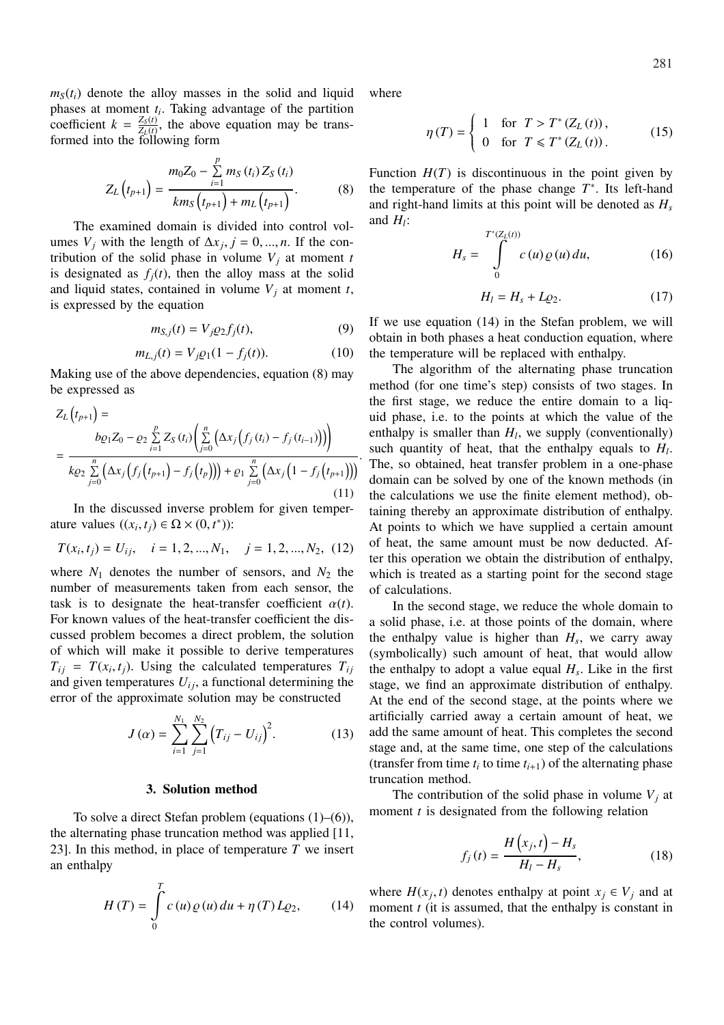$m<sub>S</sub>(t<sub>i</sub>)$  denote the alloy masses in the solid and liquid phases at moment *t<sup>i</sup>* . Taking advantage of the partition coefficient  $k = \frac{Z_s(t)}{Z_s(t)}$  $\frac{Z_s(t)}{Z_L(t)}$ , the above equation may be transformed into the following form

$$
Z_{L}(t_{p+1}) = \frac{m_{0}Z_{0} - \sum_{i=1}^{p} m_{S}(t_{i}) Z_{S}(t_{i})}{km_{S}(t_{p+1}) + m_{L}(t_{p+1})}.
$$
 (8)

The examined domain is divided into control volumes  $V_j$  with the length of  $\Delta x_j$ ,  $j = 0, ..., n$ . If the contribution of the solid phase in volume  $V_i$  at moment  $t$ is designated as  $f_i(t)$ , then the alloy mass at the solid and liquid states, contained in volume  $V_i$  at moment  $t$ , is expressed by the equation

$$
m_{S,j}(t) = V_j \varrho_2 f_j(t),\tag{9}
$$

$$
m_{L,j}(t) = V_j \varrho_1 (1 - f_j(t)). \tag{10}
$$

Making use of the above dependencies, equation (8) may be expressed as

$$
Z_{L}(t_{p+1}) =
$$
  
\n
$$
= \frac{b_{Q_1}Z_0 - Q_2 \sum_{i=1}^{p} Z_{S}(t_i) \left( \sum_{j=0}^{n} (\Delta x_j (f_j(t_i) - f_j(t_{i-1})) \right)}{\sum_{j=0}^{n} (\Delta x_j (f_j(t_{p+1}) - f_j(t_p))) + Q_1 \sum_{j=0}^{n} (\Delta x_j (1 - f_j(t_{p+1})))}
$$
\n(11)

In the discussed inverse problem for given temperature values  $((x_i, t_j) \in \Omega \times (0, t^*))$ :

$$
T(x_i, t_j) = U_{ij}, \quad i = 1, 2, ..., N_1, \quad j = 1, 2, ..., N_2, (12)
$$

where  $N_1$  denotes the number of sensors, and  $N_2$  the number of measurements taken from each sensor, the task is to designate the heat-transfer coefficient  $\alpha(t)$ . For known values of the heat-transfer coefficient the discussed problem becomes a direct problem, the solution of which will make it possible to derive temperatures  $T_{ij}$  =  $T(x_i, t_j)$ . Using the calculated temperatures  $T_{ij}$ and given temperatures  $U_{ij}$ , a functional determining the error of the approximate solution may be constructed

$$
J(\alpha) = \sum_{i=1}^{N_1} \sum_{j=1}^{N_2} (T_{ij} - U_{ij})^2.
$$
 (13)

### **3. Solution method**

To solve a direct Stefan problem (equations (1)–(6)), the alternating phase truncation method was applied [11, 23]. In this method, in place of temperature *T* we insert an enthalpy

$$
H(T) = \int_{0}^{T} c(u)\varrho(u) du + \eta(T)L\varrho_{2}, \qquad (14)
$$

where

.

$$
\eta(T) = \begin{cases} 1 & \text{for } T > T^*(Z_L(t)), \\ 0 & \text{for } T \le T^*(Z_L(t)). \end{cases}
$$
 (15)

Function  $H(T)$  is discontinuous in the point given by the temperature of the phase change *T* ∗ . Its left-hand and right-hand limits at this point will be denoted as *H<sup>s</sup>* and  $H_l$ :

$$
H_s = \int_{0}^{T^*(Z_L(t))} c(u) \varrho(u) du,
$$
 (16)

$$
H_l = H_s + L \varrho_2. \tag{17}
$$

If we use equation (14) in the Stefan problem, we will obtain in both phases a heat conduction equation, where the temperature will be replaced with enthalpy.

The algorithm of the alternating phase truncation method (for one time's step) consists of two stages. In the first stage, we reduce the entire domain to a liquid phase, i.e. to the points at which the value of the enthalpy is smaller than  $H_l$ , we supply (conventionally) such quantity of heat, that the enthalpy equals to *H<sup>l</sup>* . The, so obtained, heat transfer problem in a one-phase domain can be solved by one of the known methods (in the calculations we use the finite element method), obtaining thereby an approximate distribution of enthalpy. At points to which we have supplied a certain amount of heat, the same amount must be now deducted. After this operation we obtain the distribution of enthalpy, which is treated as a starting point for the second stage of calculations.

In the second stage, we reduce the whole domain to a solid phase, i.e. at those points of the domain, where the enthalpy value is higher than  $H_s$ , we carry away (symbolically) such amount of heat, that would allow the enthalpy to adopt a value equal  $H_s$ . Like in the first stage, we find an approximate distribution of enthalpy. At the end of the second stage, at the points where we artificially carried away a certain amount of heat, we add the same amount of heat. This completes the second stage and, at the same time, one step of the calculations (transfer from time  $t_i$  to time  $t_{i+1}$ ) of the alternating phase truncation method.

The contribution of the solid phase in volume  $V_i$  at moment *t* is designated from the following relation

$$
f_j(t) = \frac{H(x_j, t) - H_s}{H_l - H_s},
$$
\n(18)

where  $H(x_j, t)$  denotes enthalpy at point  $x_j \in V_j$  and at moment *t* (it is assumed, that the enthalpy is constant in the control volumes).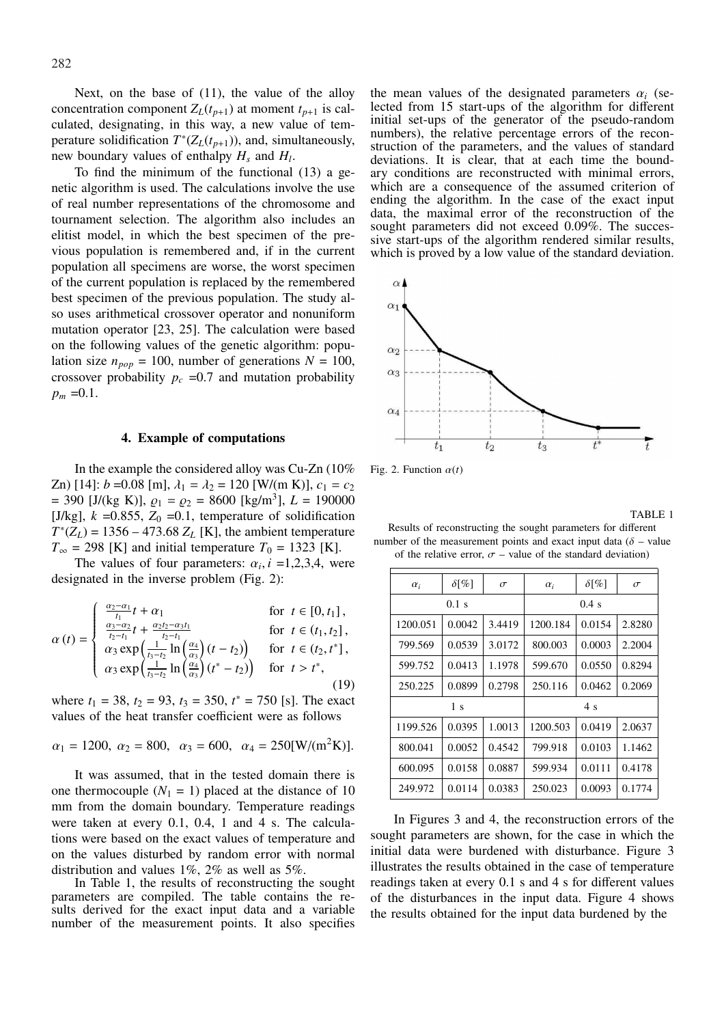Next, on the base of (11), the value of the alloy concentration component  $Z_L(t_{p+1})$  at moment  $t_{p+1}$  is calculated, designating, in this way, a new value of temperature solidification  $T^*(Z_L(t_{p+1}))$ , and, simultaneously, new boundary values of enthalpy *H<sup>s</sup>* and *H<sup>l</sup>* .

To find the minimum of the functional (13) a genetic algorithm is used. The calculations involve the use of real number representations of the chromosome and tournament selection. The algorithm also includes an elitist model, in which the best specimen of the previous population is remembered and, if in the current population all specimens are worse, the worst specimen of the current population is replaced by the remembered best specimen of the previous population. The study also uses arithmetical crossover operator and nonuniform mutation operator [23, 25]. The calculation were based on the following values of the genetic algorithm: population size  $n_{pop} = 100$ , number of generations  $N = 100$ , crossover probability  $p_c = 0.7$  and mutation probability  $p_m = 0.1$ .

## **4. Example of computations**

In the example the considered alloy was Cu-Zn (10% Zn) [14]:  $b = 0.08$  [m],  $\lambda_1 = \lambda_2 = 120$  [W/(m K)],  $c_1 = c_2$  $= 390$  [J/(kg K)],  $\rho_1 = \rho_2 = 8600$  [kg/m<sup>3</sup>],  $L = 190000$ [J/kg],  $k = 0.855$ ,  $Z_0 = 0.1$ , temperature of solidification  $T^*(Z_L) = 1356 - 473.68 Z_L$  [K], the ambient temperature  $T_{\infty}$  = 298 [K] and initial temperature  $T_0$  = 1323 [K].

The values of four parameters:  $\alpha_i$ ,  $i = 1,2,3,4$ , were designated in the inverse problem (Fig. 2):

$$
\alpha(t) = \begin{cases}\n\frac{\frac{\alpha_2 - \alpha_1}{t_1} t + \alpha_1}{\frac{\alpha_3 - \alpha_2}{t_2 - t_1} t + \frac{\alpha_2 t_2 - \alpha_3 t_1}{t_2 - t_1}} & \text{for } t \in [0, t_1], \\
\frac{\alpha_3 - \alpha_2}{t_2 - t_1} t + \frac{\frac{\alpha_2 t_2 - \alpha_3 t_1}{t_2 - t_1}}{\frac{t_2 - t_1}{t_3 - t_2}} & \text{for } t \in (t_1, t_2], \\
\alpha_3 \exp\left(\frac{1}{t_3 - t_2} \ln\left(\frac{\alpha_4}{\alpha_3}\right)(t^* - t_2)\right) & \text{for } t > t^*,\n\end{cases}
$$
\n(19)

where  $t_1 = 38$ ,  $t_2 = 93$ ,  $t_3 = 350$ ,  $t^* = 750$  [s]. The exact values of the heat transfer coefficient were as follows

$$
\alpha_1 = 1200, \ \alpha_2 = 800, \ \alpha_3 = 600, \ \alpha_4 = 250 \text{[W/(m²K)]}.
$$

It was assumed, that in the tested domain there is one thermocouple  $(N_1 = 1)$  placed at the distance of 10 mm from the domain boundary. Temperature readings were taken at every 0.1, 0.4, 1 and 4 s. The calculations were based on the exact values of temperature and on the values disturbed by random error with normal distribution and values 1%, 2% as well as 5%.

In Table 1, the results of reconstructing the sought parameters are compiled. The table contains the results derived for the exact input data and a variable number of the measurement points. It also specifies

the mean values of the designated parameters  $\alpha_i$  (selected from 15 start-ups of the algorithm for different initial set-ups of the generator of the pseudo-random numbers), the relative percentage errors of the reconstruction of the parameters, and the values of standard deviations. It is clear, that at each time the boundary conditions are reconstructed with minimal errors, which are a consequence of the assumed criterion of ending the algorithm. In the case of the exact input data, the maximal error of the reconstruction of the sought parameters did not exceed 0.09%. The successive start-ups of the algorithm rendered similar results, which is proved by a low value of the standard deviation.



Fig. 2. Function  $\alpha(t)$ 

TABLE 1

Results of reconstructing the sought parameters for different number of the measurement points and exact input data  $(\delta -$  value of the relative error,  $\sigma$  – value of the standard deviation)

| $\alpha_i$     | $\delta$ [%] | $\sigma$ | $\alpha_i$ | $\delta[\%]$ | $\sigma$ |
|----------------|--------------|----------|------------|--------------|----------|
| $0.1$ s        |              |          | $0.4$ s    |              |          |
| 1200.051       | 0.0042       | 3.4419   | 1200.184   | 0.0154       | 2.8280   |
| 799.569        | 0.0539       | 3.0172   | 800.003    | 0.0003       | 2.2004   |
| 599.752        | 0.0413       | 1.1978   | 599.670    | 0.0550       | 0.8294   |
| 250.225        | 0.0899       | 0.2798   | 250.116    | 0.0462       | 0.2069   |
| 1 <sub>s</sub> |              |          | 4 s        |              |          |
| 1199.526       | 0.0395       | 1.0013   | 1200.503   | 0.0419       | 2.0637   |
| 800.041        | 0.0052       | 0.4542   | 799.918    | 0.0103       | 1.1462   |
| 600.095        | 0.0158       | 0.0887   | 599.934    | 0.0111       | 0.4178   |
| 249.972        | 0.0114       | 0.0383   | 250.023    | 0.0093       | 0.1774   |

In Figures 3 and 4, the reconstruction errors of the sought parameters are shown, for the case in which the initial data were burdened with disturbance. Figure 3 illustrates the results obtained in the case of temperature readings taken at every 0.1 s and 4 s for different values of the disturbances in the input data. Figure 4 shows the results obtained for the input data burdened by the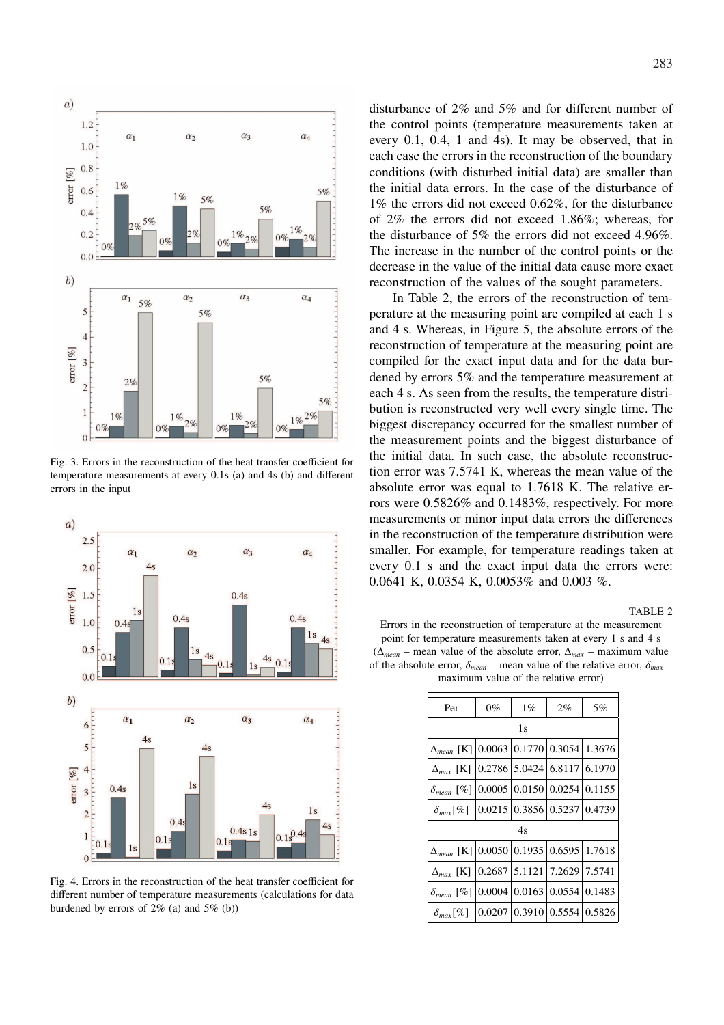

Fig. 3. Errors in the reconstruction of the heat transfer coefficient for temperature measurements at every 0.1s (a) and 4s (b) and different errors in the input



Fig. 4. Errors in the reconstruction of the heat transfer coefficient for different number of temperature measurements (calculations for data burdened by errors of  $2\%$  (a) and  $5\%$  (b))

disturbance of 2% and 5% and for different number of the control points (temperature measurements taken at every 0.1, 0.4, 1 and 4s). It may be observed, that in each case the errors in the reconstruction of the boundary conditions (with disturbed initial data) are smaller than the initial data errors. In the case of the disturbance of 1% the errors did not exceed 0.62%, for the disturbance of 2% the errors did not exceed 1.86%; whereas, for the disturbance of 5% the errors did not exceed 4.96%. The increase in the number of the control points or the decrease in the value of the initial data cause more exact reconstruction of the values of the sought parameters.

In Table 2, the errors of the reconstruction of temperature at the measuring point are compiled at each 1 s and 4 s. Whereas, in Figure 5, the absolute errors of the reconstruction of temperature at the measuring point are compiled for the exact input data and for the data burdened by errors 5% and the temperature measurement at each 4 s. As seen from the results, the temperature distribution is reconstructed very well every single time. The biggest discrepancy occurred for the smallest number of the measurement points and the biggest disturbance of the initial data. In such case, the absolute reconstruction error was 7.5741 K, whereas the mean value of the absolute error was equal to 1.7618 K. The relative errors were 0.5826% and 0.1483%, respectively. For more measurements or minor input data errors the differences in the reconstruction of the temperature distribution were smaller. For example, for temperature readings taken at every 0.1 s and the exact input data the errors were: 0.0641 K, 0.0354 K, 0.0053% and 0.003 %.

#### TABLE 2

283

Errors in the reconstruction of temperature at the measurement point for temperature measurements taken at every 1 s and 4 s (∆*mean* – mean value of the absolute error, ∆*max* – maximum value of the absolute error,  $\delta_{mean}$  – mean value of the relative error,  $\delta_{max}$  – maximum value of the relative error)

| $0\%$<br>Per                                                              |  | $1\%$                                        | 2% | 5% |  |  |  |  |
|---------------------------------------------------------------------------|--|----------------------------------------------|----|----|--|--|--|--|
| 1s                                                                        |  |                                              |    |    |  |  |  |  |
| $\Delta_{mean}$ [K] $\vert 0.0063 \vert 0.1770 \vert 0.3054 \vert 1.3676$ |  |                                              |    |    |  |  |  |  |
| $\Delta_{max}$ [K]                                                        |  | $0.2786$ 5.0424 6.8117 6.1970                |    |    |  |  |  |  |
| $\delta_{mean}$ [%]                                                       |  | $0.0005 \mid 0.0150 \mid 0.0254 \mid 0.1155$ |    |    |  |  |  |  |
| $\delta_{max}$ [%]   0.0215   0.3856   0.5237   0.4739                    |  |                                              |    |    |  |  |  |  |
| 4s                                                                        |  |                                              |    |    |  |  |  |  |
| $\Delta_{mean}$ [K] $\vert 0.0050 \vert 0.1935 \vert 0.6595 \vert 1.7618$ |  |                                              |    |    |  |  |  |  |
| $\Delta_{max}$ [K]                                                        |  | $0.2687 \mid 5.1121 \mid 7.2629 \mid 7.5741$ |    |    |  |  |  |  |
| $\delta_{mean}$ [%]                                                       |  | $0.0004 \mid 0.0163 \mid 0.0554 \mid 0.1483$ |    |    |  |  |  |  |
| $\delta_{max}[\%]$                                                        |  | $0.0207 \mid 0.3910 \mid 0.5554 \mid 0.5826$ |    |    |  |  |  |  |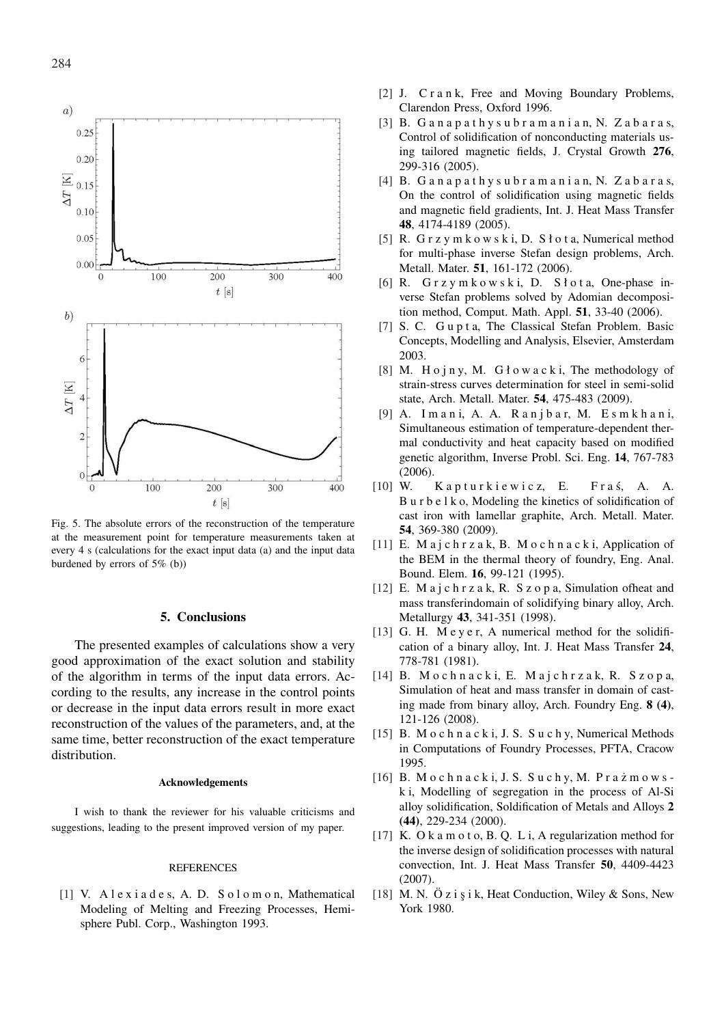

Fig. 5. The absolute errors of the reconstruction of the temperature at the measurement point for temperature measurements taken at every 4 s (calculations for the exact input data (a) and the input data burdened by errors of 5% (b))

## **5. Conclusions**

The presented examples of calculations show a very good approximation of the exact solution and stability of the algorithm in terms of the input data errors. According to the results, any increase in the control points or decrease in the input data errors result in more exact reconstruction of the values of the parameters, and, at the same time, better reconstruction of the exact temperature distribution.

### **Acknowledgements**

I wish to thank the reviewer for his valuable criticisms and suggestions, leading to the present improved version of my paper.

#### **REFERENCES**

[1] V. A l e x i a d e s, A. D. S o l o m o n, Mathematical Modeling of Melting and Freezing Processes, Hemisphere Publ. Corp., Washington 1993.

- [2] J. C r a n k, Free and Moving Boundary Problems, Clarendon Press, Oxford 1996.
- [3] B. G a n a p a t h y s u b r a m a n i a n, N. Z a b a r a s, Control of solidification of nonconducting materials using tailored magnetic fields, J. Crystal Growth **276**, 299-316 (2005).
- [4] B. G a n a p a t h y s u b r a m a n i a n, N. Z a b a r a s, On the control of solidification using magnetic fields and magnetic field gradients, Int. J. Heat Mass Transfer **48**, 4174-4189 (2005).
- [5] R. G r z y m k o w s k i, D. S ł o t a, Numerical method for multi-phase inverse Stefan design problems, Arch. Metall. Mater. **51**, 161-172 (2006).
- [6] R. G r z y m k o w s k i, D. S ł o t a, One-phase inverse Stefan problems solved by Adomian decomposition method, Comput. Math. Appl. **51**, 33-40 (2006).
- [7] S. C. G u p t a, The Classical Stefan Problem. Basic Concepts, Modelling and Analysis, Elsevier, Amsterdam 2003.
- [8] M. Hojny, M. Głowacki, The methodology of strain-stress curves determination for steel in semi-solid state, Arch. Metall. Mater. **54**, 475-483 (2009).
- [9] A. I m a n i, A. A. R a n j b a r, M. E s m k h a n i, Simultaneous estimation of temperature-dependent thermal conductivity and heat capacity based on modified genetic algorithm, Inverse Probl. Sci. Eng. **14**, 767-783 (2006).
- $[10]$  W. K a p t u r k i e w i c z, E. F r a s, A. A. B u r b e l k o, Modeling the kinetics of solidification of cast iron with lamellar graphite, Arch. Metall. Mater. **54**, 369-380 (2009).
- [11] E. Majchrzak, B. Mochnacki, Application of the BEM in the thermal theory of foundry, Eng. Anal. Bound. Elem. **16**, 99-121 (1995).
- [12] E. Majchrzak, R. Szopa, Simulation ofheat and mass transferindomain of solidifying binary alloy, Arch. Metallurgy **43**, 341-351 (1998).
- [13] G. H. Meyer, A numerical method for the solidification of a binary alloy, Int. J. Heat Mass Transfer **24**, 778-781 (1981).
- [14] B. Mochnacki, E. Majchrzak, R. Szopa, Simulation of heat and mass transfer in domain of casting made from binary alloy, Arch. Foundry Eng. **8 (4)**, 121-126 (2008).
- [15] B. M o c h n a c k i, J. S. S u c h y, Numerical Methods in Computations of Foundry Processes, PFTA, Cracow 1995.
- [16] B. Mochnacki, J. S. Suchy, M. Prazmowsk i, Modelling of segregation in the process of Al-Si alloy solidification, Soldification of Metals and Alloys **2 (44)**, 229-234 (2000).
- [17] K. O k a m o t o, B. Q. L i, A regularization method for the inverse design of solidification processes with natural convection, Int. J. Heat Mass Transfer **50**, 4409-4423 (2007).
- [18] M. N.  $\ddot{O}$  z i s i k, Heat Conduction, Wiley & Sons, New York 1980.